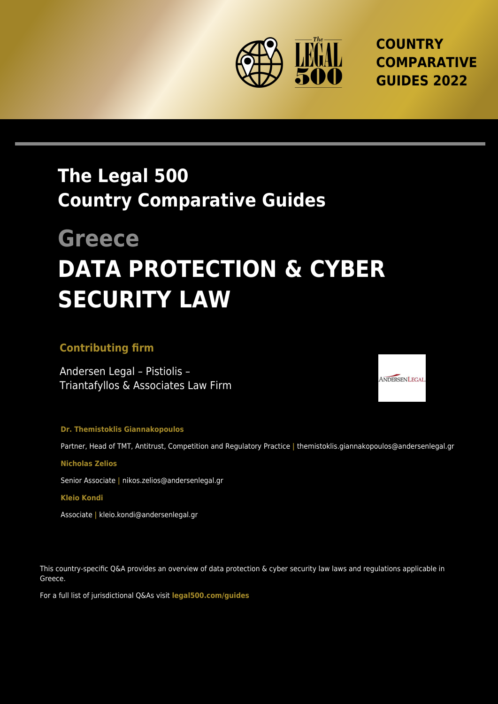

**COUNTRY COMPARATIVE GUIDES 2022**

## **The Legal 500 Country Comparative Guides**

# **Greece DATA PROTECTION & CYBER SECURITY LAW**

#### **Contributing firm**

Andersen Legal – Pistiolis – Triantafyllos & Associates Law Firm ANDERSENLEGAL

#### **Dr. Themistoklis Giannakopoulos**

Partner, Head of TMT, Antitrust, Competition and Regulatory Practice **|** themistoklis.giannakopoulos@andersenlegal.gr

#### **Nicholas Zelios**

Senior Associate **|** nikos.zelios@andersenlegal.gr

#### **Kleio Kondi**

Associate **|** kleio.kondi@andersenlegal.gr

This country-specific Q&A provides an overview of data protection & cyber security law laws and regulations applicable in Greece.

For a full list of jurisdictional Q&As visit **[legal500.com/guides](https://www.legal500.com/guides/)**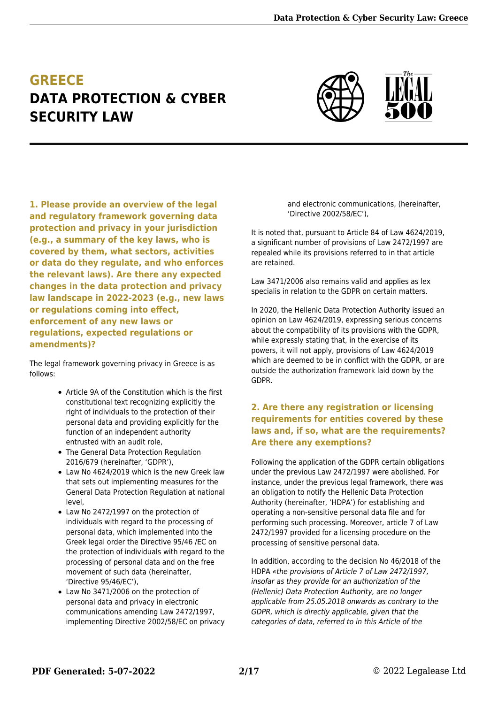### **GREECE DATA PROTECTION & CYBER SECURITY LAW**



**1. Please provide an overview of the legal and regulatory framework governing data protection and privacy in your jurisdiction (e.g., a summary of the key laws, who is covered by them, what sectors, activities or data do they regulate, and who enforces the relevant laws). Are there any expected changes in the data protection and privacy law landscape in 2022-2023 (e.g., new laws or regulations coming into effect, enforcement of any new laws or regulations, expected regulations or amendments)?**

The legal framework governing privacy in Greece is as follows:

- Article 9A of the Constitution which is the first constitutional text recognizing explicitly the right of individuals to the protection of their personal data and providing explicitly for the function of an independent authority entrusted with an audit role,
- The General Data Protection Regulation 2016/679 (hereinafter, 'GDPR'),
- Law No 4624/2019 which is the new Greek law that sets out implementing measures for the General Data Protection Regulation at national level,
- Law No 2472/1997 on the protection of individuals with regard to the processing of personal data, which implemented into the Greek legal order the Directive 95/46 /EC on the protection of individuals with regard to the processing of personal data and on the free movement of such data (hereinafter, 'Directive 95/46/EC'),
- Law No 3471/2006 on the protection of personal data and privacy in electronic communications amending Law 2472/1997, implementing Directive 2002/58/EC on privacy

and electronic communications, (hereinafter, 'Directive 2002/58/EC'),

It is noted that, pursuant to Article 84 of Law 4624/2019, a significant number of provisions of Law 2472/1997 are repealed while its provisions referred to in that article are retained.

Law 3471/2006 also remains valid and applies as lex specialis in relation to the GDPR on certain matters.

In 2020, the Hellenic Data Protection Authority issued an opinion on Law 4624/2019, expressing serious concerns about the compatibility of its provisions with the GDPR, while expressly stating that, in the exercise of its powers, it will not apply, provisions of Law 4624/2019 which are deemed to be in conflict with the GDPR, or are outside the authorization framework laid down by the GDPR.

#### **2. Are there any registration or licensing requirements for entities covered by these laws and, if so, what are the requirements? Are there any exemptions?**

Following the application of the GDPR certain obligations under the previous Law 2472/1997 were abolished. For instance, under the previous legal framework, there was an obligation to notify the Hellenic Data Protection Authority (hereinafter, 'HDPA') for establishing and operating a non-sensitive personal data file and for performing such processing. Moreover, article 7 of Law 2472/1997 provided for a licensing procedure on the processing of sensitive personal data.

In addition, according to the decision No 46/2018 of the HDPA «the provisions of Article 7 of Law 2472/1997, insofar as they provide for an authorization of the (Hellenic) Data Protection Authority, are no longer applicable from 25.05.2018 onwards as contrary to the GDPR, which is directly applicable, given that the categories of data, referred to in this Article of the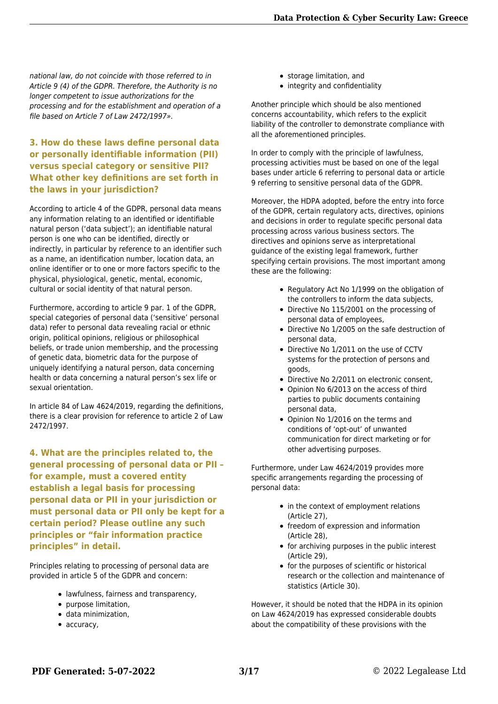national law, do not coincide with those referred to in Article 9 (4) of the GDPR. Therefore, the Authority is no longer competent to issue authorizations for the processing and for the establishment and operation of a file based on Article 7 of Law 2472/1997».

#### **3. How do these laws define personal data or personally identifiable information (PII) versus special category or sensitive PII? What other key definitions are set forth in the laws in your jurisdiction?**

According to article 4 of the GDPR, personal data means any information relating to an identified or identifiable natural person ('data subject'); an identifiable natural person is one who can be identified, directly or indirectly, in particular by reference to an identifier such as a name, an identification number, location data, an online identifier or to one or more factors specific to the physical, physiological, genetic, mental, economic, cultural or social identity of that natural person.

Furthermore, according to article 9 par. 1 of the GDPR, special categories of personal data ('sensitive' personal data) refer to personal data revealing racial or ethnic origin, political opinions, religious or philosophical beliefs, or trade union membership, and the processing of genetic data, biometric data for the purpose of uniquely identifying a natural person, data concerning health or data concerning a natural person's sex life or sexual orientation.

In article 84 of Law 4624/2019, regarding the definitions, there is a clear provision for reference to article 2 of Law 2472/1997.

**4. What are the principles related to, the general processing of personal data or PII – for example, must a covered entity establish a legal basis for processing personal data or PII in your jurisdiction or must personal data or PII only be kept for a certain period? Please outline any such principles or "fair information practice principles" in detail.**

Principles relating to processing of personal data are provided in article 5 of the GDPR and concern:

- lawfulness, fairness and transparency,
- purpose limitation,
- data minimization,
- accuracy,
- storage limitation, and
- integrity and confidentiality

Another principle which should be also mentioned concerns accountability, which refers to the explicit liability of the controller to demonstrate compliance with all the aforementioned principles.

In order to comply with the principle of lawfulness, processing activities must be based on one of the legal bases under article 6 referring to personal data or article 9 referring to sensitive personal data of the GDPR.

Moreover, the HDPA adopted, before the entry into force of the GDPR, certain regulatory acts, directives, opinions and decisions in order to regulate specific personal data processing across various business sectors. The directives and opinions serve as interpretational guidance of the existing legal framework, further specifying certain provisions. The most important among these are the following:

- Regulatory Act No 1/1999 on the obligation of the controllers to inform the data subjects,
- Directive No 115/2001 on the processing of personal data of employees,
- Directive No 1/2005 on the safe destruction of personal data,
- Directive No 1/2011 on the use of CCTV systems for the protection of persons and goods,
- Directive No 2/2011 on electronic consent.
- Opinion No 6/2013 on the access of third parties to public documents containing personal data,
- Opinion No 1/2016 on the terms and conditions of 'opt-out' of unwanted communication for direct marketing or for other advertising purposes.

Furthermore, under Law 4624/2019 provides more specific arrangements regarding the processing of personal data:

- in the context of employment relations (Article 27),
- freedom of expression and information (Article 28),
- for archiving purposes in the public interest (Article 29),
- for the purposes of scientific or historical research or the collection and maintenance of statistics (Article 30).

However, it should be noted that the HDPA in its opinion on Law 4624/2019 has expressed considerable doubts about the compatibility of these provisions with the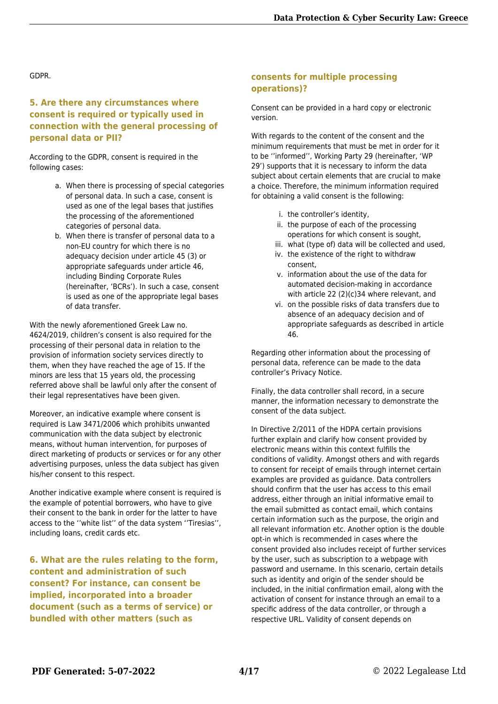GDPR.

#### **5. Are there any circumstances where consent is required or typically used in connection with the general processing of personal data or PII?**

According to the GDPR, consent is required in the following cases:

- a. When there is processing of special categories of personal data. In such a case, consent is used as one of the legal bases that justifies the processing of the aforementioned categories of personal data.
- b. When there is transfer of personal data to a non-EU country for which there is no adequacy decision under article 45 (3) or appropriate safeguards under article 46, including Binding Corporate Rules (hereinafter, 'BCRs'). In such a case, consent is used as one of the appropriate legal bases of data transfer.

With the newly aforementioned Greek Law no. 4624/2019, children's consent is also required for the processing of their personal data in relation to the provision of information society services directly to them, when they have reached the age of 15. If the minors are less that 15 years old, the processing referred above shall be lawful only after the consent of their legal representatives have been given.

Moreover, an indicative example where consent is required is Law 3471/2006 which prohibits unwanted communication with the data subject by electronic means, without human intervention, for purposes of direct marketing of products or services or for any other advertising purposes, unless the data subject has given his/her consent to this respect.

Another indicative example where consent is required is the example of potential borrowers, who have to give their consent to the bank in order for the latter to have access to the ''white list'' of the data system ''Tiresias'', including loans, credit cards etc.

**6. What are the rules relating to the form, content and administration of such consent? For instance, can consent be implied, incorporated into a broader document (such as a terms of service) or bundled with other matters (such as**

#### **consents for multiple processing operations)?**

Consent can be provided in a hard copy or electronic version.

With regards to the content of the consent and the minimum requirements that must be met in order for it to be ''informed'', Working Party 29 (hereinafter, 'WP 29') supports that it is necessary to inform the data subject about certain elements that are crucial to make a choice. Therefore, the minimum information required for obtaining a valid consent is the following:

- i. the controller's identity,
- ii. the purpose of each of the processing operations for which consent is sought,
- iii. what (type of) data will be collected and used,
- iv. the existence of the right to withdraw consent,
- v. information about the use of the data for automated decision-making in accordance with article 22 (2)(c)34 where relevant, and
- vi. on the possible risks of data transfers due to absence of an adequacy decision and of appropriate safeguards as described in article 46.

Regarding other information about the processing of personal data, reference can be made to the data controller's Privacy Notice.

Finally, the data controller shall record, in a secure manner, the information necessary to demonstrate the consent of the data subject.

In Directive 2/2011 of the HDPA certain provisions further explain and clarify how consent provided by electronic means within this context fulfills the conditions of validity. Amongst others and with regards to consent for receipt of emails through internet certain examples are provided as guidance. Data controllers should confirm that the user has access to this email address, either through an initial informative email to the email submitted as contact email, which contains certain information such as the purpose, the origin and all relevant information etc. Another option is the double opt-in which is recommended in cases where the consent provided also includes receipt of further services by the user, such as subscription to a webpage with password and username. In this scenario, certain details such as identity and origin of the sender should be included, in the initial confirmation email, along with the activation of consent for instance through an email to a specific address of the data controller, or through a respective URL. Validity of consent depends on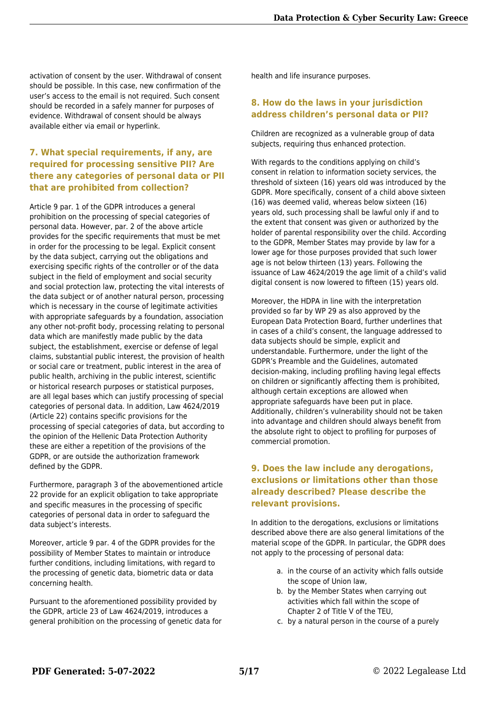activation of consent by the user. Withdrawal of consent should be possible. In this case, new confirmation of the user's access to the email is not required. Such consent should be recorded in a safely manner for purposes of evidence. Withdrawal of consent should be always available either via email or hyperlink.

#### **7. What special requirements, if any, are required for processing sensitive PII? Are there any categories of personal data or PII that are prohibited from collection?**

Article 9 par. 1 of the GDPR introduces a general prohibition on the processing of special categories of personal data. However, par. 2 of the above article provides for the specific requirements that must be met in order for the processing to be legal. Explicit consent by the data subject, carrying out the obligations and exercising specific rights of the controller or of the data subject in the field of employment and social security and social protection law, protecting the vital interests of the data subject or of another natural person, processing which is necessary in the course of legitimate activities with appropriate safeguards by a foundation, association any other not-profit body, processing relating to personal data which are manifestly made public by the data subject, the establishment, exercise or defense of legal claims, substantial public interest, the provision of health or social care or treatment, public interest in the area of public health, archiving in the public interest, scientific or historical research purposes or statistical purposes, are all legal bases which can justify processing of special categories of personal data. In addition, Law 4624/2019 (Article 22) contains specific provisions for the processing of special categories of data, but according to the opinion of the Hellenic Data Protection Authority these are either a repetition of the provisions of the GDPR, or are outside the authorization framework defined by the GDPR.

Furthermore, paragraph 3 of the abovementioned article 22 provide for an explicit obligation to take appropriate and specific measures in the processing of specific categories of personal data in order to safeguard the data subject's interests.

Moreover, article 9 par. 4 of the GDPR provides for the possibility of Member States to maintain or introduce further conditions, including limitations, with regard to the processing of genetic data, biometric data or data concerning health.

Pursuant to the aforementioned possibility provided by the GDPR, article 23 of Law 4624/2019, introduces a general prohibition on the processing of genetic data for health and life insurance purposes.

#### **8. How do the laws in your jurisdiction address children's personal data or PII?**

Children are recognized as a vulnerable group of data subjects, requiring thus enhanced protection.

With regards to the conditions applying on child's consent in relation to information society services, the threshold of sixteen (16) years old was introduced by the GDPR. More specifically, consent of a child above sixteen (16) was deemed valid, whereas below sixteen (16) years old, such processing shall be lawful only if and to the extent that consent was given or authorized by the holder of parental responsibility over the child. According to the GDPR, Member States may provide by law for a lower age for those purposes provided that such lower age is not below thirteen (13) years. Following the issuance of Law 4624/2019 the age limit of a child's valid digital consent is now lowered to fifteen (15) years old.

Moreover, the HDPA in line with the interpretation provided so far by WP 29 as also approved by the European Data Protection Board, further underlines that in cases of a child's consent, the language addressed to data subjects should be simple, explicit and understandable. Furthermore, under the light of the GDPR's Preamble and the Guidelines, automated decision-making, including profiling having legal effects on children or significantly affecting them is prohibited, although certain exceptions are allowed when appropriate safeguards have been put in place. Additionally, children's vulnerability should not be taken into advantage and children should always benefit from the absolute right to object to profiling for purposes of commercial promotion.

#### **9. Does the law include any derogations, exclusions or limitations other than those already described? Please describe the relevant provisions.**

In addition to the derogations, exclusions or limitations described above there are also general limitations of the material scope of the GDPR. In particular, the GDPR does not apply to the processing of personal data:

- a. in the course of an activity which falls outside the scope of Union law,
- b. by the Member States when carrying out activities which fall within the scope of Chapter 2 of Title V of the TEU,
- c. by a natural person in the course of a purely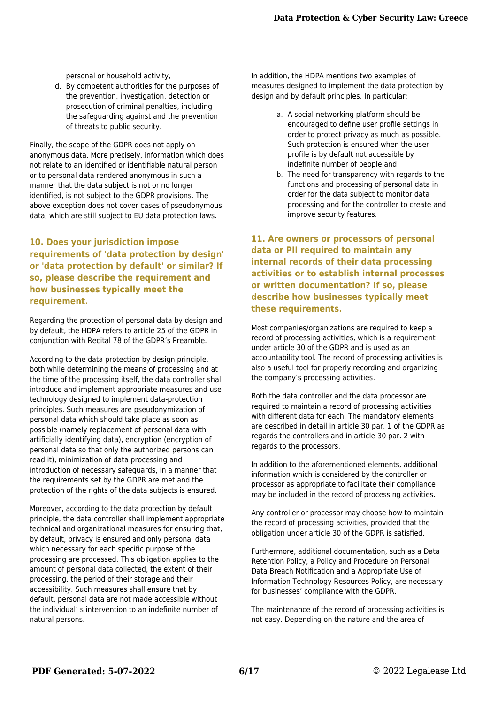personal or household activity,

d. By competent authorities for the purposes of the prevention, investigation, detection or prosecution of criminal penalties, including the safeguarding against and the prevention of threats to public security.

Finally, the scope of the GDPR does not apply on anonymous data. More precisely, information which does not relate to an identified or identifiable natural person or to personal data rendered anonymous in such a manner that the data subject is not or no longer identified, is not subject to the GDPR provisions. The above exception does not cover cases of pseudonymous data, which are still subject to EU data protection laws.

#### **10. Does your jurisdiction impose requirements of 'data protection by design' or 'data protection by default' or similar? If so, please describe the requirement and how businesses typically meet the requirement.**

Regarding the protection of personal data by design and by default, the HDPA refers to article 25 of the GDPR in conjunction with Recital 78 of the GDPR's Preamble.

According to the data protection by design principle, both while determining the means of processing and at the time of the processing itself, the data controller shall introduce and implement appropriate measures and use technology designed to implement data-protection principles. Such measures are pseudonymization of personal data which should take place as soon as possible (namely replacement of personal data with artificially identifying data), encryption (encryption of personal data so that only the authorized persons can read it), minimization of data processing and introduction of necessary safeguards, in a manner that the requirements set by the GDPR are met and the protection of the rights of the data subjects is ensured.

Moreover, according to the data protection by default principle, the data controller shall implement appropriate technical and organizational measures for ensuring that, by default, privacy is ensured and only personal data which necessary for each specific purpose of the processing are processed. This obligation applies to the amount of personal data collected, the extent of their processing, the period of their storage and their accessibility. Such measures shall ensure that by default, personal data are not made accessible without the individual' s intervention to an indefinite number of natural persons.

In addition, the HDPA mentions two examples of measures designed to implement the data protection by design and by default principles. In particular:

- a. A social networking platform should be encouraged to define user profile settings in order to protect privacy as much as possible. Such protection is ensured when the user profile is by default not accessible by indefinite number of people and
- b. The need for transparency with regards to the functions and processing of personal data in order for the data subject to monitor data processing and for the controller to create and improve security features.

**11. Are owners or processors of personal data or PII required to maintain any internal records of their data processing activities or to establish internal processes or written documentation? If so, please describe how businesses typically meet these requirements.**

Most companies/organizations are required to keep a record of processing activities, which is a requirement under article 30 of the GDPR and is used as an accountability tool. The record of processing activities is also a useful tool for properly recording and organizing the company's processing activities.

Both the data controller and the data processor are required to maintain a record of processing activities with different data for each. The mandatory elements are described in detail in article 30 par. 1 of the GDPR as regards the controllers and in article 30 par. 2 with regards to the processors.

In addition to the aforementioned elements, additional information which is considered by the controller or processor as appropriate to facilitate their compliance may be included in the record of processing activities.

Any controller or processor may choose how to maintain the record of processing activities, provided that the obligation under article 30 of the GDPR is satisfied.

Furthermore, additional documentation, such as a Data Retention Policy, a Policy and Procedure on Personal Data Breach Notification and a Appropriate Use of Information Technology Resources Policy, are necessary for businesses' compliance with the GDPR.

The maintenance of the record of processing activities is not easy. Depending on the nature and the area of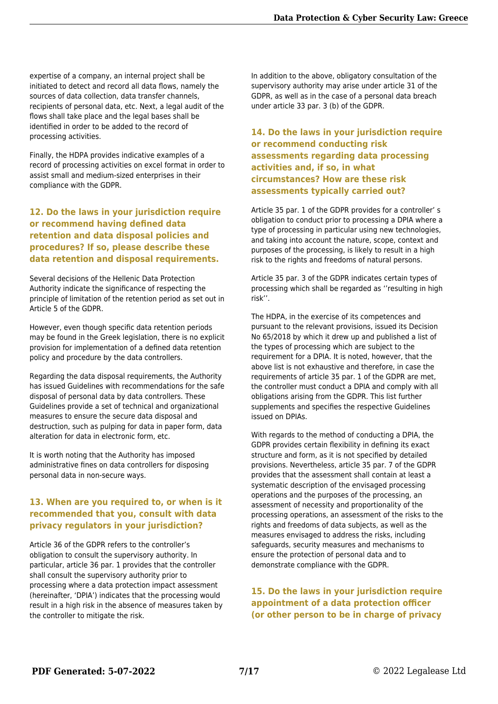expertise of a company, an internal project shall be initiated to detect and record all data flows, namely the sources of data collection, data transfer channels, recipients of personal data, etc. Next, a legal audit of the flows shall take place and the legal bases shall be identified in order to be added to the record of processing activities.

Finally, the HDPA provides indicative examples of a record of processing activities on excel format in order to assist small and medium-sized enterprises in their compliance with the GDPR.

#### **12. Do the laws in your jurisdiction require or recommend having defined data retention and data disposal policies and procedures? If so, please describe these data retention and disposal requirements.**

Several decisions of the Hellenic Data Protection Authority indicate the significance of respecting the principle of limitation of the retention period as set out in Article 5 of the GDPR.

However, even though specific data retention periods may be found in the Greek legislation, there is no explicit provision for implementation of a defined data retention policy and procedure by the data controllers.

Regarding the data disposal requirements, the Authority has issued Guidelines with recommendations for the safe disposal of personal data by data controllers. These Guidelines provide a set of technical and organizational measures to ensure the secure data disposal and destruction, such as pulping for data in paper form, data alteration for data in electronic form, etc.

It is worth noting that the Authority has imposed administrative fines on data controllers for disposing personal data in non-secure ways.

#### **13. When are you required to, or when is it recommended that you, consult with data privacy regulators in your jurisdiction?**

Article 36 of the GDPR refers to the controller's obligation to consult the supervisory authority. In particular, article 36 par. 1 provides that the controller shall consult the supervisory authority prior to processing where a data protection impact assessment (hereinafter, 'DPIA') indicates that the processing would result in a high risk in the absence of measures taken by the controller to mitigate the risk.

In addition to the above, obligatory consultation of the supervisory authority may arise under article 31 of the GDPR, as well as in the case of a personal data breach under article 33 par. 3 (b) of the GDPR.

#### **14. Do the laws in your jurisdiction require or recommend conducting risk assessments regarding data processing activities and, if so, in what circumstances? How are these risk assessments typically carried out?**

Article 35 par. 1 of the GDPR provides for a controller' s obligation to conduct prior to processing a DPIA where a type of processing in particular using new technologies, and taking into account the nature, scope, context and purposes of the processing, is likely to result in a high risk to the rights and freedoms of natural persons.

Article 35 par. 3 of the GDPR indicates certain types of processing which shall be regarded as ''resulting in high risk''.

The HDPA, in the exercise of its competences and pursuant to the relevant provisions, issued its Decision No 65/2018 by which it drew up and published a list of the types of processing which are subject to the requirement for a DPIA. It is noted, however, that the above list is not exhaustive and therefore, in case the requirements of article 35 par. 1 of the GDPR are met, the controller must conduct a DPIA and comply with all obligations arising from the GDPR. This list further supplements and specifies the respective Guidelines issued on DPIAs.

With regards to the method of conducting a DPIA, the GDPR provides certain flexibility in defining its exact structure and form, as it is not specified by detailed provisions. Nevertheless, article 35 par. 7 of the GDPR provides that the assessment shall contain at least a systematic description of the envisaged processing operations and the purposes of the processing, an assessment of necessity and proportionality of the processing operations, an assessment of the risks to the rights and freedoms of data subjects, as well as the measures envisaged to address the risks, including safeguards, security measures and mechanisms to ensure the protection of personal data and to demonstrate compliance with the GDPR.

**15. Do the laws in your jurisdiction require appointment of a data protection officer (or other person to be in charge of privacy**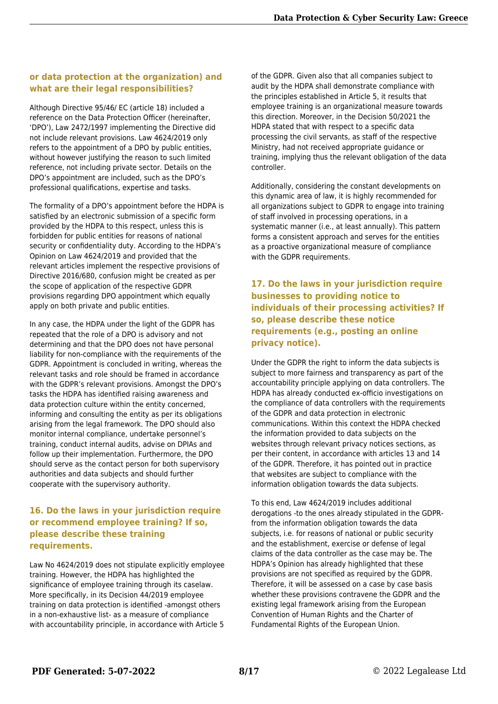#### **or data protection at the organization) and what are their legal responsibilities?**

Although Directive 95/46/ EC (article 18) included a reference on the Data Protection Officer (hereinafter, 'DPO'), Law 2472/1997 implementing the Directive did not include relevant provisions. Law 4624/2019 only refers to the appointment of a DPO by public entities, without however justifying the reason to such limited reference, not including private sector. Details on the DPO's appointment are included, such as the DPO's professional qualifications, expertise and tasks.

The formality of a DPO's appointment before the HDPA is satisfied by an electronic submission of a specific form provided by the HDPA to this respect, unless this is forbidden for public entities for reasons of national security or confidentiality duty. According to the HDPA's Opinion on Law 4624/2019 and provided that the relevant articles implement the respective provisions of Directive 2016/680, confusion might be created as per the scope of application of the respective GDPR provisions regarding DPO appointment which equally apply on both private and public entities.

In any case, the HDPA under the light of the GDPR has repeated that the role of a DPO is advisory and not determining and that the DPO does not have personal liability for non-compliance with the requirements of the GDPR. Appointment is concluded in writing, whereas the relevant tasks and role should be framed in accordance with the GDPR's relevant provisions. Amongst the DPO's tasks the HDPA has identified raising awareness and data protection culture within the entity concerned, informing and consulting the entity as per its obligations arising from the legal framework. The DPO should also monitor internal compliance, undertake personnel's training, conduct internal audits, advise on DPIAs and follow up their implementation. Furthermore, the DPO should serve as the contact person for both supervisory authorities and data subjects and should further cooperate with the supervisory authority.

#### **16. Do the laws in your jurisdiction require or recommend employee training? If so, please describe these training requirements.**

Law No 4624/2019 does not stipulate explicitly employee training. However, the HDPA has highlighted the significance of employee training through its caselaw. More specifically, in its Decision 44/2019 employee training on data protection is identified -amongst others in a non-exhaustive list- as a measure of compliance with accountability principle, in accordance with Article 5

of the GDPR. Given also that all companies subject to audit by the HDPA shall demonstrate compliance with the principles established in Article 5, it results that employee training is an organizational measure towards this direction. Moreover, in the Decision 50/2021 the HDPA stated that with respect to a specific data processing the civil servants, as staff of the respective Ministry, had not received appropriate guidance or training, implying thus the relevant obligation of the data controller.

Additionally, considering the constant developments on this dynamic area of law, it is highly recommended for all organizations subject to GDPR to engage into training of staff involved in processing operations, in a systematic manner (i.e., at least annually). This pattern forms a consistent approach and serves for the entities as a proactive organizational measure of compliance with the GDPR requirements.

**17. Do the laws in your jurisdiction require businesses to providing notice to individuals of their processing activities? If so, please describe these notice requirements (e.g., posting an online privacy notice).**

Under the GDPR the right to inform the data subjects is subject to more fairness and transparency as part of the accountability principle applying on data controllers. The HDPA has already conducted ex-officio investigations on the compliance of data controllers with the requirements of the GDPR and data protection in electronic communications. Within this context the HDPA checked the information provided to data subjects on the websites through relevant privacy notices sections, as per their content, in accordance with articles 13 and 14 of the GDPR. Therefore, it has pointed out in practice that websites are subject to compliance with the information obligation towards the data subjects.

To this end, Law 4624/2019 includes additional derogations -to the ones already stipulated in the GDPRfrom the information obligation towards the data subjects, i.e. for reasons of national or public security and the establishment, exercise or defense of legal claims of the data controller as the case may be. The HDPA's Opinion has already highlighted that these provisions are not specified as required by the GDPR. Therefore, it will be assessed on a case by case basis whether these provisions contravene the GDPR and the existing legal framework arising from the European Convention of Human Rights and the Charter of Fundamental Rights of the European Union.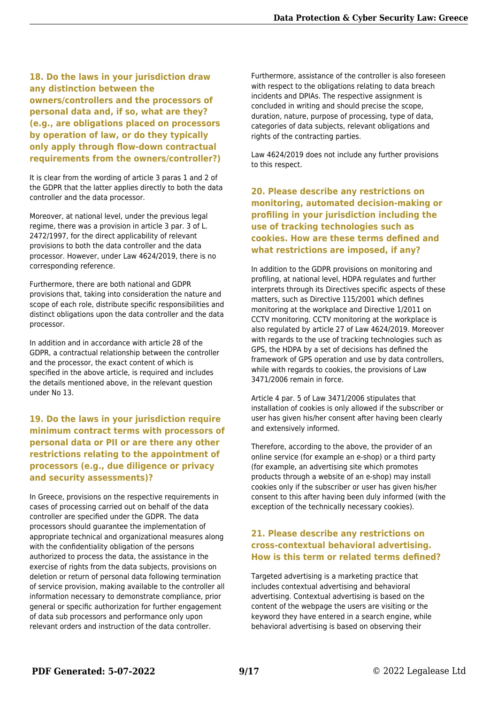**18. Do the laws in your jurisdiction draw any distinction between the owners/controllers and the processors of personal data and, if so, what are they? (e.g., are obligations placed on processors by operation of law, or do they typically only apply through flow-down contractual requirements from the owners/controller?)**

It is clear from the wording of article 3 paras 1 and 2 of the GDPR that the latter applies directly to both the data controller and the data processor.

Moreover, at national level, under the previous legal regime, there was a provision in article 3 par. 3 of L. 2472/1997, for the direct applicability of relevant provisions to both the data controller and the data processor. However, under Law 4624/2019, there is no corresponding reference.

Furthermore, there are both national and GDPR provisions that, taking into consideration the nature and scope of each role, distribute specific responsibilities and distinct obligations upon the data controller and the data processor.

In addition and in accordance with article 28 of the GDPR, a contractual relationship between the controller and the processor, the exact content of which is specified in the above article, is required and includes the details mentioned above, in the relevant question under No 13.

#### **19. Do the laws in your jurisdiction require minimum contract terms with processors of personal data or PII or are there any other restrictions relating to the appointment of processors (e.g., due diligence or privacy and security assessments)?**

In Greece, provisions on the respective requirements in cases of processing carried out on behalf of the data controller are specified under the GDPR. The data processors should guarantee the implementation of appropriate technical and organizational measures along with the confidentiality obligation of the persons authorized to process the data, the assistance in the exercise of rights from the data subjects, provisions on deletion or return of personal data following termination of service provision, making available to the controller all information necessary to demonstrate compliance, prior general or specific authorization for further engagement of data sub processors and performance only upon relevant orders and instruction of the data controller.

Furthermore, assistance of the controller is also foreseen with respect to the obligations relating to data breach incidents and DPIAs. The respective assignment is concluded in writing and should precise the scope, duration, nature, purpose of processing, type of data, categories of data subjects, relevant obligations and rights of the contracting parties.

Law 4624/2019 does not include any further provisions to this respect.

**20. Please describe any restrictions on monitoring, automated decision-making or profiling in your jurisdiction including the use of tracking technologies such as cookies. How are these terms defined and what restrictions are imposed, if any?**

In addition to the GDPR provisions on monitoring and profiling, at national level, HDPA regulates and further interprets through its Directives specific aspects of these matters, such as Directive 115/2001 which defines monitoring at the workplace and Directive 1/2011 on CCTV monitoring. CCTV monitoring at the workplace is also regulated by article 27 of Law 4624/2019. Moreover with regards to the use of tracking technologies such as GPS, the HDPA by a set of decisions has defined the framework of GPS operation and use by data controllers, while with regards to cookies, the provisions of Law 3471/2006 remain in force.

Article 4 par. 5 of Law 3471/2006 stipulates that installation of cookies is only allowed if the subscriber or user has given his/her consent after having been clearly and extensively informed.

Therefore, according to the above, the provider of an online service (for example an e-shop) or a third party (for example, an advertising site which promotes products through a website of an e-shop) may install cookies only if the subscriber or user has given his/her consent to this after having been duly informed (with the exception of the technically necessary cookies).

#### **21. Please describe any restrictions on cross-contextual behavioral advertising. How is this term or related terms defined?**

Targeted advertising is a marketing practice that includes contextual advertising and behavioral advertising. Contextual advertising is based on the content of the webpage the users are visiting or the keyword they have entered in a search engine, while behavioral advertising is based on observing their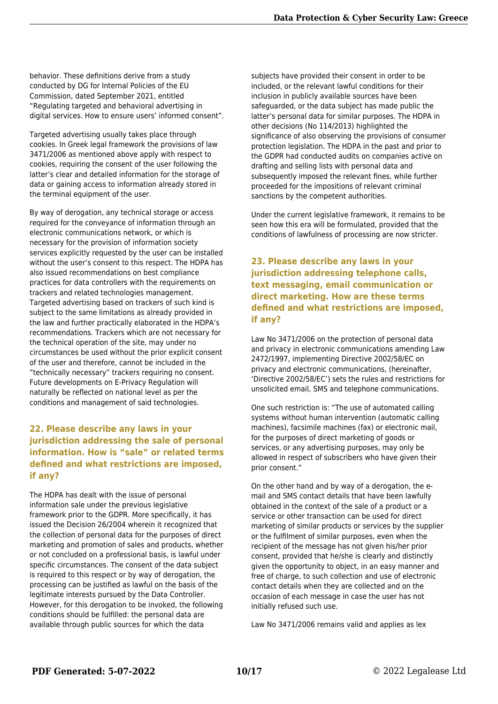behavior. These definitions derive from a study conducted by DG for Internal Policies of the EU Commission, dated September 2021, entitled "Regulating targeted and behavioral advertising in digital services. How to ensure users' informed consent".

Targeted advertising usually takes place through cookies. In Greek legal framework the provisions of law 3471/2006 as mentioned above apply with respect to cookies, requiring the consent of the user following the latter's clear and detailed information for the storage of data or gaining access to information already stored in the terminal equipment of the user.

By way of derogation, any technical storage or access required for the conveyance of information through an electronic communications network, or which is necessary for the provision of information society services explicitly requested by the user can be installed without the user's consent to this respect. The HDPA has also issued recommendations on best compliance practices for data controllers with the requirements on trackers and related technologies management. Targeted advertising based on trackers of such kind is subject to the same limitations as already provided in the law and further practically elaborated in the HDPA's recommendations. Trackers which are not necessary for the technical operation of the site, may under no circumstances be used without the prior explicit consent of the user and therefore, cannot be included in the "technically necessary" trackers requiring no consent. Future developments on E-Privacy Regulation will naturally be reflected on national level as per the conditions and management of said technologies.

#### **22. Please describe any laws in your jurisdiction addressing the sale of personal information. How is "sale" or related terms defined and what restrictions are imposed, if any?**

The HDPA has dealt with the issue of personal information sale under the previous legislative framework prior to the GDPR. More specifically, it has issued the Decision 26/2004 wherein it recognized that the collection of personal data for the purposes of direct marketing and promotion of sales and products, whether or not concluded on a professional basis, is lawful under specific circumstances. The consent of the data subject is required to this respect or by way of derogation, the processing can be justified as lawful on the basis of the legitimate interests pursued by the Data Controller. However, for this derogation to be invoked, the following conditions should be fulfilled: the personal data are available through public sources for which the data

subjects have provided their consent in order to be included, or the relevant lawful conditions for their inclusion in publicly available sources have been safeguarded, or the data subject has made public the latter's personal data for similar purposes. The HDPA in other decisions (No 114/2013) highlighted the significance of also observing the provisions of consumer protection legislation. The HDPA in the past and prior to the GDPR had conducted audits on companies active on drafting and selling lists with personal data and subsequently imposed the relevant fines, while further proceeded for the impositions of relevant criminal sanctions by the competent authorities.

Under the current legislative framework, it remains to be seen how this era will be formulated, provided that the conditions of lawfulness of processing are now stricter.

#### **23. Please describe any laws in your jurisdiction addressing telephone calls, text messaging, email communication or direct marketing. How are these terms defined and what restrictions are imposed, if any?**

Law No 3471/2006 on the protection of personal data and privacy in electronic communications amending Law 2472/1997, implementing Directive 2002/58/EC on privacy and electronic communications, (hereinafter, 'Directive 2002/58/EC') sets the rules and restrictions for unsolicited email, SMS and telephone communications.

One such restriction is: "The use of automated calling systems without human intervention (automatic calling machines), facsimile machines (fax) or electronic mail, for the purposes of direct marketing of goods or services, or any advertising purposes, may only be allowed in respect of subscribers who have given their prior consent."

On the other hand and by way of a derogation, the email and SMS contact details that have been lawfully obtained in the context of the sale of a product or a service or other transaction can be used for direct marketing of similar products or services by the supplier or the fulfilment of similar purposes, even when the recipient of the message has not given his/her prior consent, provided that he/she is clearly and distinctly given the opportunity to object, in an easy manner and free of charge, to such collection and use of electronic contact details when they are collected and on the occasion of each message in case the user has not initially refused such use.

Law No 3471/2006 remains valid and applies as lex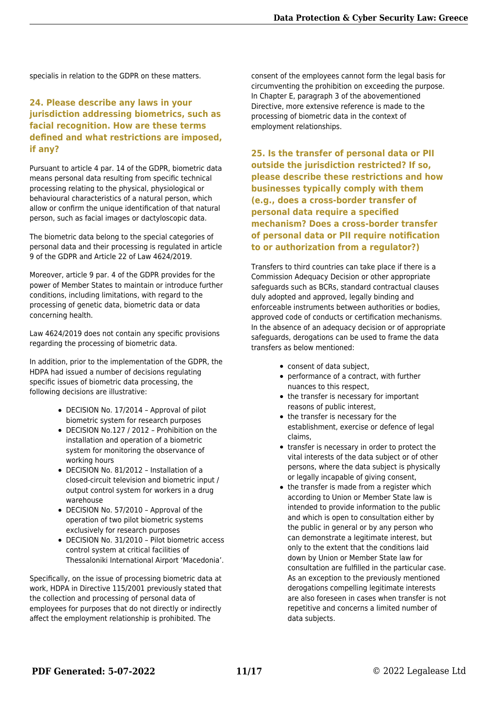specialis in relation to the GDPR on these matters.

#### **24. Please describe any laws in your jurisdiction addressing biometrics, such as facial recognition. How are these terms defined and what restrictions are imposed, if any?**

Pursuant to article 4 par. 14 of the GDPR, biometric data means personal data resulting from specific technical processing relating to the physical, physiological or behavioural characteristics of a natural person, which allow or confirm the unique identification of that natural person, such as facial images or dactyloscopic data.

The biometric data belong to the special categories of personal data and their processing is regulated in article 9 of the GDPR and Article 22 of Law 4624/2019.

Moreover, article 9 par. 4 of the GDPR provides for the power of Member States to maintain or introduce further conditions, including limitations, with regard to the processing of genetic data, biometric data or data concerning health.

Law 4624/2019 does not contain any specific provisions regarding the processing of biometric data.

In addition, prior to the implementation of the GDPR, the HDPA had issued a number of decisions regulating specific issues of biometric data processing, the following decisions are illustrative:

- DECISION No. 17/2014 Approval of pilot biometric system for research purposes
- DECISION No.127 / 2012 Prohibition on the installation and operation of a biometric system for monitoring the observance of working hours
- DECISION No. 81/2012 Installation of a closed-circuit television and biometric input / output control system for workers in a drug warehouse
- DECISION No. 57/2010 Approval of the operation of two pilot biometric systems exclusively for research purposes
- DECISION No. 31/2010 Pilot biometric access control system at critical facilities of Thessaloniki International Airport 'Macedonia'.

Specifically, on the issue of processing biometric data at work, HDPA in Directive 115/2001 previously stated that the collection and processing of personal data of employees for purposes that do not directly or indirectly affect the employment relationship is prohibited. The

consent of the employees cannot form the legal basis for circumventing the prohibition on exceeding the purpose. In Chapter E, paragraph 3 of the abovementioned Directive, more extensive reference is made to the processing of biometric data in the context of employment relationships.

**25. Is the transfer of personal data or PII outside the jurisdiction restricted? If so, please describe these restrictions and how businesses typically comply with them (e.g., does a cross-border transfer of personal data require a specified mechanism? Does a cross-border transfer of personal data or PII require notification to or authorization from a regulator?)**

Transfers to third countries can take place if there is a Commission Adequacy Decision or other appropriate safeguards such as BCRs, standard contractual clauses duly adopted and approved, legally binding and enforceable instruments between authorities or bodies, approved code of conducts or certification mechanisms. In the absence of an adequacy decision or of appropriate safeguards, derogations can be used to frame the data transfers as below mentioned:

- consent of data subject,
- performance of a contract, with further nuances to this respect,
- the transfer is necessary for important reasons of public interest,
- the transfer is necessary for the establishment, exercise or defence of legal claims,
- transfer is necessary in order to protect the vital interests of the data subject or of other persons, where the data subject is physically or legally incapable of giving consent,
- the transfer is made from a register which according to Union or Member State law is intended to provide information to the public and which is open to consultation either by the public in general or by any person who can demonstrate a legitimate interest, but only to the extent that the conditions laid down by Union or Member State law for consultation are fulfilled in the particular case. As an exception to the previously mentioned derogations compelling legitimate interests are also foreseen in cases when transfer is not repetitive and concerns a limited number of data subjects.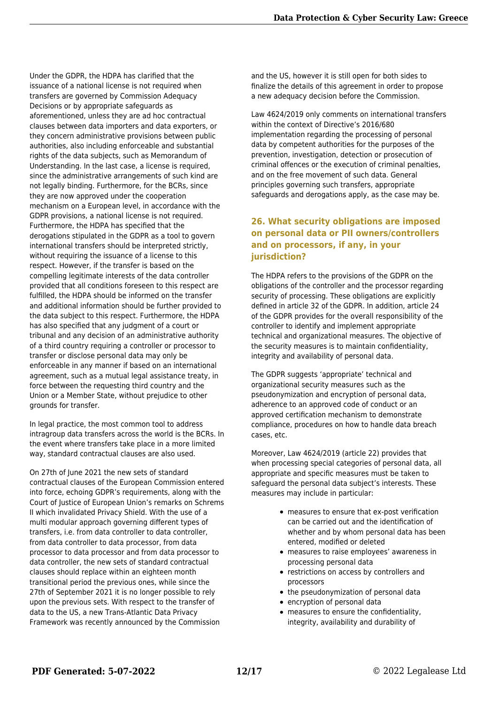Under the GDPR, the HDPA has clarified that the issuance of a national license is not required when transfers are governed by Commission Adequacy Decisions or by appropriate safeguards as aforementioned, unless they are ad hoc contractual clauses between data importers and data exporters, or they concern administrative provisions between public authorities, also including enforceable and substantial rights of the data subjects, such as Memorandum of Understanding. In the last case, a license is required, since the administrative arrangements of such kind are not legally binding. Furthermore, for the BCRs, since they are now approved under the cooperation mechanism on a European level, in accordance with the GDPR provisions, a national license is not required. Furthermore, the HDPA has specified that the derogations stipulated in the GDPR as a tool to govern international transfers should be interpreted strictly, without requiring the issuance of a license to this respect. However, if the transfer is based on the compelling legitimate interests of the data controller provided that all conditions foreseen to this respect are fulfilled, the HDPA should be informed on the transfer and additional information should be further provided to the data subject to this respect. Furthermore, the HDPA has also specified that any judgment of a court or tribunal and any decision of an administrative authority of a third country requiring a controller or processor to transfer or disclose personal data may only be enforceable in any manner if based on an international agreement, such as a mutual legal assistance treaty, in force between the requesting third country and the Union or a Member State, without prejudice to other grounds for transfer.

In legal practice, the most common tool to address intragroup data transfers across the world is the BCRs. In the event where transfers take place in a more limited way, standard contractual clauses are also used.

On 27th of June 2021 the new sets of standard contractual clauses of the European Commission entered into force, echoing GDPR's requirements, along with the Court of Justice of European Union's remarks on Schrems II which invalidated Privacy Shield. With the use of a multi modular approach governing different types of transfers, i.e. from data controller to data controller, from data controller to data processor, from data processor to data processor and from data processor to data controller, the new sets of standard contractual clauses should replace within an eighteen month transitional period the previous ones, while since the 27th of September 2021 it is no longer possible to rely upon the previous sets. With respect to the transfer of data to the US, a new Trans-Atlantic Data Privacy Framework was recently announced by the Commission

and the US, however it is still open for both sides to finalize the details of this agreement in order to propose a new adequacy decision before the Commission.

Law 4624/2019 only comments on international transfers within the context of Directive's 2016/680 implementation regarding the processing of personal data by competent authorities for the purposes of the prevention, investigation, detection or prosecution of criminal offences or the execution of criminal penalties, and on the free movement of such data. General principles governing such transfers, appropriate safeguards and derogations apply, as the case may be.

#### **26. What security obligations are imposed on personal data or PII owners/controllers and on processors, if any, in your jurisdiction?**

The HDPA refers to the provisions of the GDPR on the obligations of the controller and the processor regarding security of processing. These obligations are explicitly defined in article 32 of the GDPR. In addition, article 24 of the GDPR provides for the overall responsibility of the controller to identify and implement appropriate technical and organizational measures. The objective of the security measures is to maintain confidentiality, integrity and availability of personal data.

The GDPR suggests 'appropriate' technical and organizational security measures such as the pseudonymization and encryption of personal data, adherence to an approved code of conduct or an approved certification mechanism to demonstrate compliance, procedures on how to handle data breach cases, etc.

Moreover, Law 4624/2019 (article 22) provides that when processing special categories of personal data, all appropriate and specific measures must be taken to safeguard the personal data subject's interests. These measures may include in particular:

- measures to ensure that ex-post verification can be carried out and the identification of whether and by whom personal data has been entered, modified or deleted
- measures to raise employees' awareness in processing personal data
- restrictions on access by controllers and processors
- the pseudonymization of personal data
- encryption of personal data
- measures to ensure the confidentiality, integrity, availability and durability of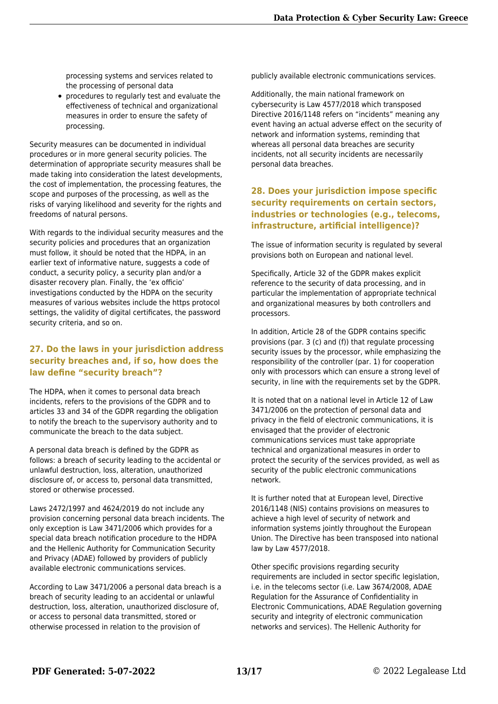processing systems and services related to the processing of personal data

procedures to regularly test and evaluate the effectiveness of technical and organizational measures in order to ensure the safety of processing.

Security measures can be documented in individual procedures or in more general security policies. The determination of appropriate security measures shall be made taking into consideration the latest developments, the cost of implementation, the processing features, the scope and purposes of the processing, as well as the risks of varying likelihood and severity for the rights and freedoms of natural persons.

With regards to the individual security measures and the security policies and procedures that an organization must follow, it should be noted that the HDPA, in an earlier text of informative nature, suggests a code of conduct, a security policy, a security plan and/or a disaster recovery plan. Finally, the 'ex officio' investigations conducted by the HDPA on the security measures of various websites include the https protocol settings, the validity of digital certificates, the password security criteria, and so on.

#### **27. Do the laws in your jurisdiction address security breaches and, if so, how does the law define "security breach"?**

The HDPA, when it comes to personal data breach incidents, refers to the provisions of the GDPR and to articles 33 and 34 of the GDPR regarding the obligation to notify the breach to the supervisory authority and to communicate the breach to the data subject.

A personal data breach is defined by the GDPR as follows: a breach of security leading to the accidental or unlawful destruction, loss, alteration, unauthorized disclosure of, or access to, personal data transmitted, stored or otherwise processed.

Laws 2472/1997 and 4624/2019 do not include any provision concerning personal data breach incidents. The only exception is Law 3471/2006 which provides for a special data breach notification procedure to the HDPA and the Hellenic Authority for Communication Security and Privacy (ADAE) followed by providers of publicly available electronic communications services.

According to Law 3471/2006 a personal data breach is a breach of security leading to an accidental or unlawful destruction, loss, alteration, unauthorized disclosure of, or access to personal data transmitted, stored or otherwise processed in relation to the provision of

publicly available electronic communications services.

Additionally, the main national framework on cybersecurity is Law 4577/2018 which transposed Directive 2016/1148 refers on "incidents" meaning any event having an actual adverse effect on the security of network and information systems, reminding that whereas all personal data breaches are security incidents, not all security incidents are necessarily personal data breaches.

#### **28. Does your jurisdiction impose specific security requirements on certain sectors, industries or technologies (e.g., telecoms, infrastructure, artificial intelligence)?**

The issue of information security is regulated by several provisions both on European and national level.

Specifically, Article 32 of the GDPR makes explicit reference to the security of data processing, and in particular the implementation of appropriate technical and organizational measures by both controllers and processors.

In addition, Article 28 of the GDPR contains specific provisions (par. 3 (c) and (f)) that regulate processing security issues by the processor, while emphasizing the responsibility of the controller (par. 1) for cooperation only with processors which can ensure a strong level of security, in line with the requirements set by the GDPR.

It is noted that on a national level in Article 12 of Law 3471/2006 on the protection of personal data and privacy in the field of electronic communications, it is envisaged that the provider of electronic communications services must take appropriate technical and organizational measures in order to protect the security of the services provided, as well as security of the public electronic communications network.

It is further noted that at European level, Directive 2016/1148 (NIS) contains provisions on measures to achieve a high level of security of network and information systems jointly throughout the European Union. The Directive has been transposed into national law by Law 4577/2018.

Other specific provisions regarding security requirements are included in sector specific legislation, i.e. in the telecoms sector (i.e. Law 3674/2008, ADAE Regulation for the Assurance of Confidentiality in Electronic Communications, ADAE Regulation governing security and integrity of electronic communication networks and services). The Hellenic Authority for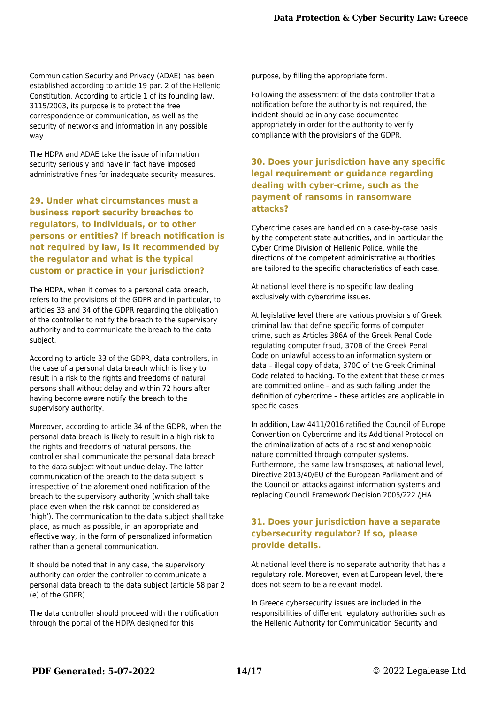Communication Security and Privacy (ADAE) has been established according to article 19 par. 2 of the Hellenic Constitution. According to article 1 of its founding law, 3115/2003, its purpose is to protect the free correspondence or communication, as well as the security of networks and information in any possible way.

The HDPA and ADAE take the issue of information security seriously and have in fact have imposed administrative fines for inadequate security measures.

#### **29. Under what circumstances must a business report security breaches to regulators, to individuals, or to other persons or entities? If breach notification is not required by law, is it recommended by the regulator and what is the typical custom or practice in your jurisdiction?**

The HDPA, when it comes to a personal data breach, refers to the provisions of the GDPR and in particular, to articles 33 and 34 of the GDPR regarding the obligation of the controller to notify the breach to the supervisory authority and to communicate the breach to the data subject.

According to article 33 of the GDPR, data controllers, in the case of a personal data breach which is likely to result in a risk to the rights and freedoms of natural persons shall without delay and within 72 hours after having become aware notify the breach to the supervisory authority.

Moreover, according to article 34 of the GDPR, when the personal data breach is likely to result in a high risk to the rights and freedoms of natural persons, the controller shall communicate the personal data breach to the data subject without undue delay. The latter communication of the breach to the data subject is irrespective of the aforementioned notification of the breach to the supervisory authority (which shall take place even when the risk cannot be considered as 'high'). The communication to the data subject shall take place, as much as possible, in an appropriate and effective way, in the form of personalized information rather than a general communication.

It should be noted that in any case, the supervisory authority can order the controller to communicate a personal data breach to the data subject (article 58 par 2 (e) of the GDPR).

The data controller should proceed with the notification through the portal of the HDPA designed for this

purpose, by filling the appropriate form.

Following the assessment of the data controller that a notification before the authority is not required, the incident should be in any case documented appropriately in order for the authority to verify compliance with the provisions of the GDPR.

#### **30. Does your jurisdiction have any specific legal requirement or guidance regarding dealing with cyber-crime, such as the payment of ransoms in ransomware attacks?**

Cybercrime cases are handled on a case-by-case basis by the competent state authorities, and in particular the Cyber Crime Division of Hellenic Police, while the directions of the competent administrative authorities are tailored to the specific characteristics of each case.

At national level there is no specific law dealing exclusively with cybercrime issues.

At legislative level there are various provisions of Greek criminal law that define specific forms of computer crime, such as Articles 386A of the Greek Penal Code regulating computer fraud, 370B of the Greek Penal Code on unlawful access to an information system or data – illegal copy of data, 370C of the Greek Criminal Code related to hacking. To the extent that these crimes are committed online – and as such falling under the definition of cybercrime – these articles are applicable in specific cases.

In addition, Law 4411/2016 ratified the Council of Europe Convention on Cybercrime and its Additional Protocol on the criminalization of acts of a racist and xenophobic nature committed through computer systems. Furthermore, the same law transposes, at national level, Directive 2013/40/EU of the European Parliament and of the Council on attacks against information systems and replacing Council Framework Decision 2005/222 /JHA.

#### **31. Does your jurisdiction have a separate cybersecurity regulator? If so, please provide details.**

At national level there is no separate authority that has a regulatory role. Moreover, even at European level, there does not seem to be a relevant model.

In Greece cybersecurity issues are included in the responsibilities of different regulatory authorities such as the Hellenic Authority for Communication Security and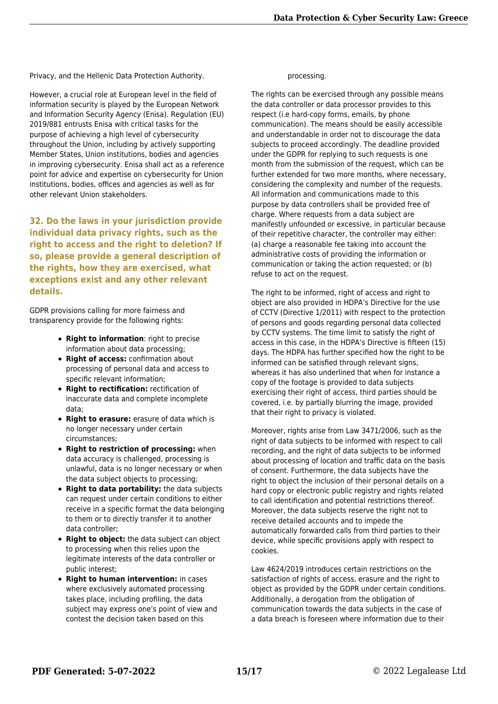Privacy, and the Hellenic Data Protection Authority.

However, a crucial role at European level in the field of information security is played by the European Network and Information Security Agency (Enisa). Regulation (EU) 2019/881 entrusts Enisa with critical tasks for the purpose of achieving a high level of cybersecurity throughout the Union, including by actively supporting Member States, Union institutions, bodies and agencies in improving cybersecurity. Enisa shall act as a reference point for advice and expertise on cybersecurity for Union institutions, bodies, offices and agencies as well as for other relevant Union stakeholders.

**32. Do the laws in your jurisdiction provide individual data privacy rights, such as the right to access and the right to deletion? If so, please provide a general description of the rights, how they are exercised, what exceptions exist and any other relevant details.**

GDPR provisions calling for more fairness and transparency provide for the following rights:

- **Right to information**: right to precise information about data processing;
- **Right of access:** confirmation about processing of personal data and access to specific relevant information;
- **Right to rectification:** rectification of inaccurate data and complete incomplete data;
- **Right to erasure:** erasure of data which is no longer necessary under certain circumstances;
- **Right to restriction of processing:** when data accuracy is challenged, processing is unlawful, data is no longer necessary or when the data subject objects to processing;
- **Right to data portability:** the data subjects can request under certain conditions to either receive in a specific format the data belonging to them or to directly transfer it to another data controller;
- **Right to object:** the data subject can object to processing when this relies upon the legitimate interests of the data controller or public interest;
- **Right to human intervention:** in cases where exclusively automated processing takes place, including profiling, the data subject may express one's point of view and contest the decision taken based on this

#### processing.

The rights can be exercised through any possible means the data controller or data processor provides to this respect (i.e hard-copy forms, emails, by phone communication). The means should be easily accessible and understandable in order not to discourage the data subjects to proceed accordingly. The deadline provided under the GDPR for replying to such requests is one month from the submission of the request, which can be further extended for two more months, where necessary, considering the complexity and number of the requests. All information and communications made to this purpose by data controllers shall be provided free of charge. Where requests from a data subject are manifestly unfounded or excessive, in particular because of their repetitive character, the controller may either: (a) charge a reasonable fee taking into account the administrative costs of providing the information or communication or taking the action requested; or (b) refuse to act on the request.

The right to be informed, right of access and right to object are also provided in HDPA's Directive for the use of CCTV (Directive 1/2011) with respect to the protection of persons and goods regarding personal data collected by CCTV systems. The time limit to satisfy the right of access in this case, in the HDPA's Directive is fifteen (15) days. The HDPA has further specified how the right to be informed can be satisfied through relevant signs, whereas it has also underlined that when for instance a copy of the footage is provided to data subjects exercising their right of access, third parties should be covered, i.e. by partially blurring the image, provided that their right to privacy is violated.

Moreover, rights arise from Law 3471/2006, such as the right of data subjects to be informed with respect to call recording, and the right of data subjects to be informed about processing of location and traffic data on the basis of consent. Furthermore, the data subjects have the right to object the inclusion of their personal details on a hard copy or electronic public registry and rights related to call identification and potential restrictions thereof. Moreover, the data subjects reserve the right not to receive detailed accounts and to impede the automatically forwarded calls from third parties to their device, while specific provisions apply with respect to cookies.

Law 4624/2019 introduces certain restrictions on the satisfaction of rights of access, erasure and the right to object as provided by the GDPR under certain conditions. Additionally, a derogation from the obligation of communication towards the data subjects in the case of a data breach is foreseen where information due to their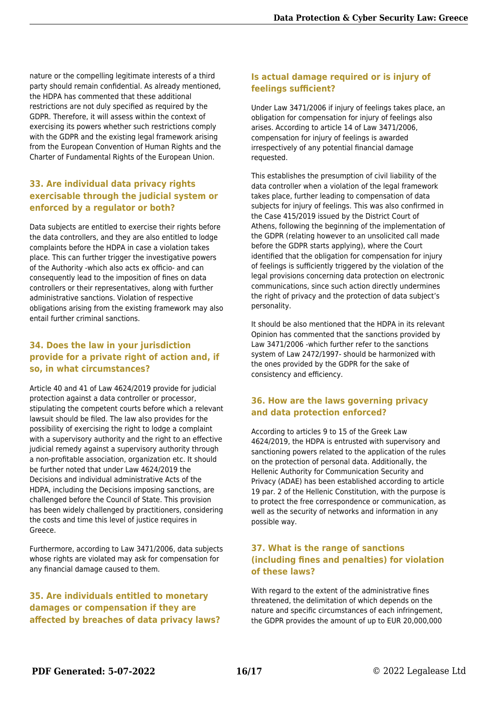nature or the compelling legitimate interests of a third party should remain confidential. As already mentioned, the HDPA has commented that these additional restrictions are not duly specified as required by the GDPR. Therefore, it will assess within the context of exercising its powers whether such restrictions comply with the GDPR and the existing legal framework arising from the European Convention of Human Rights and the Charter of Fundamental Rights of the European Union.

#### **33. Are individual data privacy rights exercisable through the judicial system or enforced by a regulator or both?**

Data subjects are entitled to exercise their rights before the data controllers, and they are also entitled to lodge complaints before the HDPA in case a violation takes place. This can further trigger the investigative powers of the Authority -which also acts ex officio- and can consequently lead to the imposition of fines on data controllers or their representatives, along with further administrative sanctions. Violation of respective obligations arising from the existing framework may also entail further criminal sanctions.

#### **34. Does the law in your jurisdiction provide for a private right of action and, if so, in what circumstances?**

Article 40 and 41 of Law 4624/2019 provide for judicial protection against a data controller or processor, stipulating the competent courts before which a relevant lawsuit should be filed. The law also provides for the possibility of exercising the right to lodge a complaint with a supervisory authority and the right to an effective judicial remedy against a supervisory authority through a non-profitable association, organization etc. It should be further noted that under Law 4624/2019 the Decisions and individual administrative Acts of the HDPA, including the Decisions imposing sanctions, are challenged before the Council of State. This provision has been widely challenged by practitioners, considering the costs and time this level of justice requires in Greece.

Furthermore, according to Law 3471/2006, data subjects whose rights are violated may ask for compensation for any financial damage caused to them.

#### **35. Are individuals entitled to monetary damages or compensation if they are affected by breaches of data privacy laws?**

#### **Is actual damage required or is injury of feelings sufficient?**

Under Law 3471/2006 if injury of feelings takes place, an obligation for compensation for injury of feelings also arises. According to article 14 of Law 3471/2006, compensation for injury of feelings is awarded irrespectively of any potential financial damage requested.

This establishes the presumption of civil liability of the data controller when a violation of the legal framework takes place, further leading to compensation of data subjects for injury of feelings. This was also confirmed in the Case 415/2019 issued by the District Court of Athens, following the beginning of the implementation of the GDPR (relating however to an unsolicited call made before the GDPR starts applying), where the Court identified that the obligation for compensation for injury of feelings is sufficiently triggered by the violation of the legal provisions concerning data protection on electronic communications, since such action directly undermines the right of privacy and the protection of data subject's personality.

It should be also mentioned that the HDPA in its relevant Opinion has commented that the sanctions provided by Law 3471/2006 -which further refer to the sanctions system of Law 2472/1997- should be harmonized with the ones provided by the GDPR for the sake of consistency and efficiency.

#### **36. How are the laws governing privacy and data protection enforced?**

According to articles 9 to 15 of the Greek Law 4624/2019, the HDPA is entrusted with supervisory and sanctioning powers related to the application of the rules on the protection of personal data. Additionally, the Hellenic Authority for Communication Security and Privacy (ADAE) has been established according to article 19 par. 2 of the Hellenic Constitution, with the purpose is to protect the free correspondence or communication, as well as the security of networks and information in any possible way.

#### **37. What is the range of sanctions (including fines and penalties) for violation of these laws?**

With regard to the extent of the administrative fines threatened, the delimitation of which depends on the nature and specific circumstances of each infringement, the GDPR provides the amount of up to EUR 20,000,000